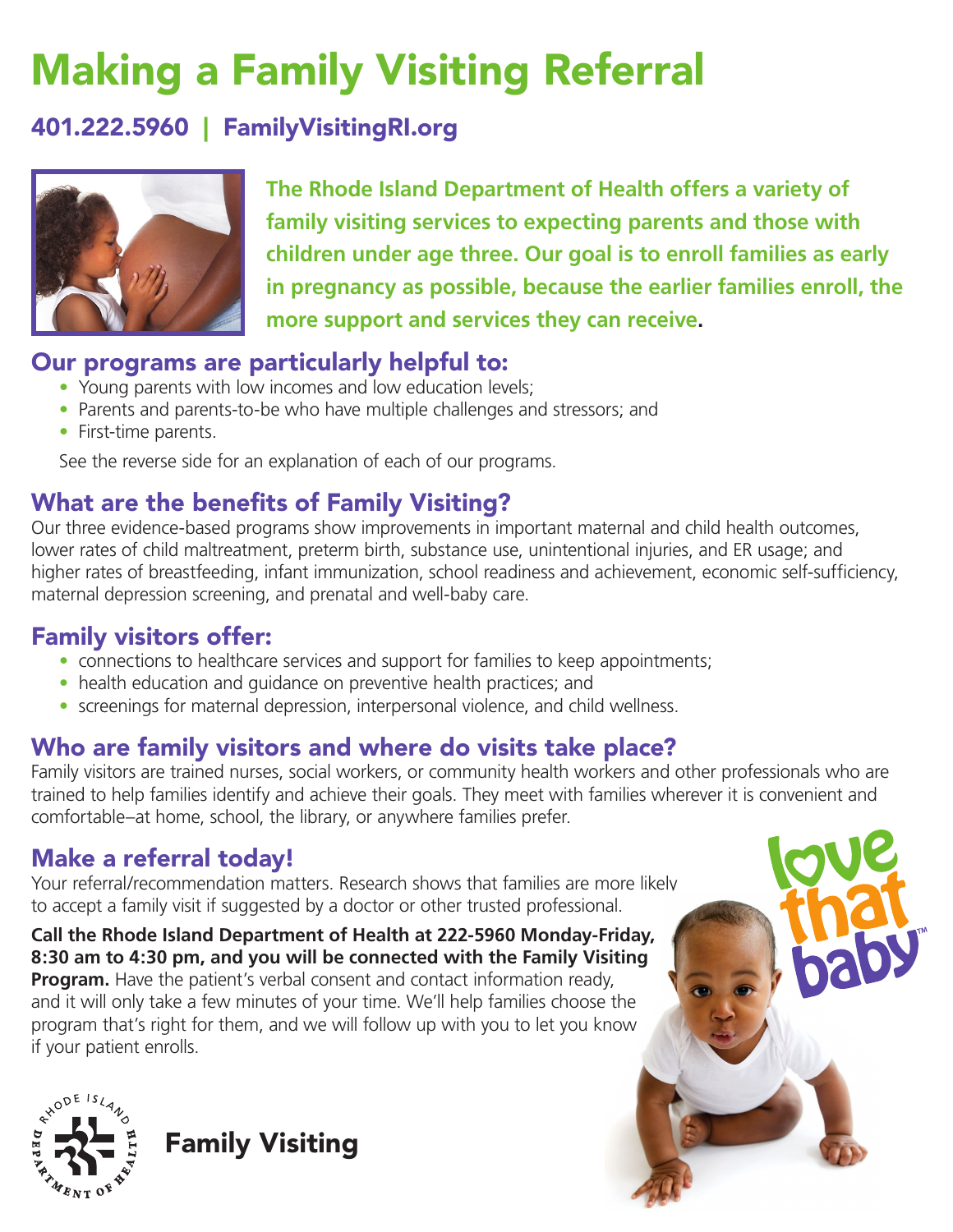## Making a Family Visiting Referral

#### 401.222.5960 | FamilyVisitingRI.org



**The Rhode Island Department of Health offers a variety of family visiting services to expecting parents and those with children under age three. Our goal is to enroll families as early in pregnancy as possible, because the earlier families enroll, the more support and services they can receive.**

#### Our programs are particularly helpful to:

- Young parents with low incomes and low education levels;
- Parents and parents-to-be who have multiple challenges and stressors; and
- First-time parents.

See the reverse side for an explanation of each of our programs.

### What are the benefits of Family Visiting?

Our three evidence-based programs show improvements in important maternal and child health outcomes, lower rates of child maltreatment, preterm birth, substance use, unintentional injuries, and ER usage; and higher rates of breastfeeding, infant immunization, school readiness and achievement, economic self-sufficiency, maternal depression screening, and prenatal and well-baby care.

#### Family visitors offer:

- connections to healthcare services and support for families to keep appointments;
- health education and guidance on preventive health practices; and
- screenings for maternal depression, interpersonal violence, and child wellness.

#### Who are family visitors and where do visits take place?

Family visitors are trained nurses, social workers, or community health workers and other professionals who are trained to help families identify and achieve their goals. They meet with families wherever it is convenient and comfortable–at home, school, the library, or anywhere families prefer.

#### Make a referral today!

Your referral/recommendation matters. Research shows that families are more likely to accept a family visit if suggested by a doctor or other trusted professional.

**Call the Rhode Island Department of Health at 222-5960 Monday-Friday, 8:30 am to 4:30 pm, and you will be connected with the Family Visiting Program.** Have the patient's verbal consent and contact information ready, and it will only take a few minutes of your time. We'll help families choose the program that's right for them, and we will follow up with you to let you know if your patient enrolls.